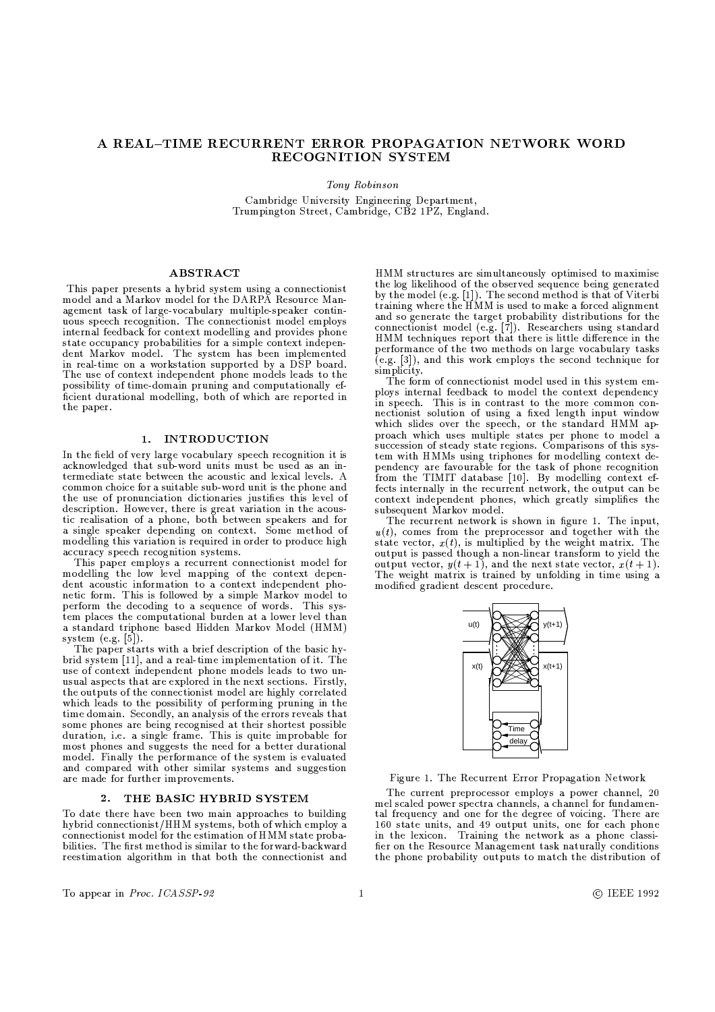# A REAL-TIME RECURRENT ERROR PROPAGATION NETWORK WORD RECOGNITION SYSTEM

Tony Robinson

Cambridge University Engineering Department, Trumpington Street, Cambridge, CB2 1PZ, England.

### **ABSTRACT**

This paper presents a hybrid system using a connectionist model and a Markov model for the DARPA Resource Management task of large-vocabulary multiple-speaker continuous speech recognition. The connectionist model employs internal feedback for context modelling and provides phone state occupancy probabilities for a simple context independent Markov model. The system has been implemented in real-time on a workstation supported by a DSP board. The use of context independent phone models leads to the possibility of time-domain pruning and computationally efficient durational modelling, both of which are reported in the paper.

## 1. INTRODUCTION

In the field of very large vocabulary speech recognition it is acknowledged that sub-word units must be used as an intermediate state between the acoustic and lexical levels. A common choice for a suitable sub-word unit is the phone and the use of pronunciation dictionaries justifies this level of description. However, there is great variation in the acoustic realisation of a phone, both between speakers and for a single speaker depending on context. Some method of modelling this variation is required in order to produce high accuracy speech recognition systems.

This paper employs a recurrent connectionist model for modelling the low level mapping of the context dependent acoustic information to a context independent phonetic form. This is followed by a simple Markov model to perform the decoding to a sequence of words. This system places the computational burden at a lower level than a standard triphone based Hidden Markov Model (HMM) system  $(e.g. [5])$ .

The paper starts with a brief description of the basic hybrid system [11], and a real-time implementation of it. The use of context independent phone models leads to two unusual aspects that are explored in the next sections. Firstly, the outputs of the connectionist model are highly correlated which leads to the possibility of performing pruning in the time domain. Secondly, an analysis of the errors reveals that some phones are being recognised at their shortest possible duration, i.e. a single frame. This is quite improbable for most phones and suggests the need for a better durational model. Finally the performance of the system is evaluated and compared with other similar systems and suggestion are made for further improvements.

#### THE BASIC HYBRID SYSTEM  $2.$

To date there have been two main approaches to building hybrid connectionist/HHM systems, both of which employ a connectionist model for the estimation of HMM state probabilities. The first method is similar to the forward-backward reestimation algorithm in that both the connectionist and HMM structures are simultaneously optimised to maximise the log likelihood of the observed sequence being generated<br>by the model (e.g. [1]). The second method is that of Viterbi training where the HMM is used to make a forced alignment and so generate the target probability distributions for the<br>connectionist model (e.g. [7]). Researchers using standard<br>HMM techniques report that there is little difference in the performance of the two methods on large vocabulary tasks  $(e.g. [3])$ , and this work employs the second technique for simplicity.

The form of connectionist model used in this system employs internal feedback to model the context dependency in speech. This is in contrast to the more common connectionist solution of using a fixed length input window which slides over the speech, or the standard HMM approach which uses multiple states per phone to model a succession of steady state regions. Comparisons of this system with HMMs using triphones for modelling context dependency are favourable for the task of phone recognition from the TIMIT database [10]. By modelling context effects internally in the recurrent network, the output can be context independent phones, which greatly simplifies the subsequent Markov model.

The recurrent network is shown in figure 1. The input,  $u(t)$ , comes from the preprocessor and together with the state vector,  $x(t)$ , is multiplied by the weight matrix. The output is passed though a non-linear transform to yield the output vector,  $y(t+1)$ , and the next state vector,  $x(t+1)$ . The weight matrix is trained by unfolding in time using a modified gradient descent procedure.



Figure 1. The Recurrent Error Propagation Network

The current preprocessor employs a power channel, 20 mel scaled power spectra channels, a channel for fundamental frequency and one for the degree of voicing. There are 160 state units, and 49 output units, one for each phone<br>in the lexicon. Training the network as a phone classifier on the Resource Management task naturally conditions the phone probability outputs to match the distribution of

To appear in Proc. ICASSP-92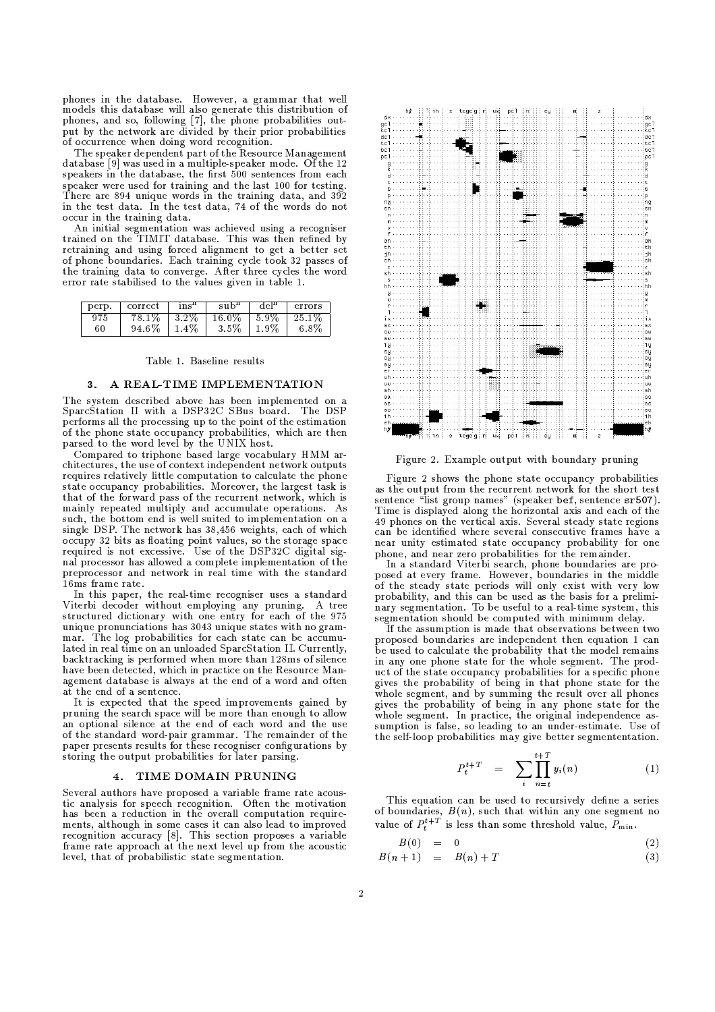phones in the database. However, a grammar that well models this database will also generate this distribution of phones, and so, following [7], the phone probabilities out-<br>put by the network are divided by their prior probabilities of occurrence when doing word recognition.

The speaker dependent part of the Resource Management database [9] was used in a multiple-speaker mode. Of the 12 speakers in the database, the first 500 sentences from each speaker were used for training and the last 100 for testing. There are 894 unique words in the training data, and 392 in the test data. In the test data, 74 of the words do not occur in the training data.

An initial segmentation was achieved using a recogniser trained on the TIMIT database. This was then refined by retraining and using forced alignment to get a better set<br>of phone boundaries. Each training cycle took 32 passes of the training data to converge. After three cycles the word error rate stabilised to the values given in table 1.

| perp. | correct | ins"    |       | $de^{\text{m}}$ | errors  |
|-------|---------|---------|-------|-----------------|---------|
|       | -78.1%  | 3.2%    | 16.0% | 5.9%            | 25.1%   |
| 60    | 94.6%   | $1.4\%$ | 3.5%  | 1.9%            | $6.8\%$ |

#### Table 1. Baseline results

#### 3. A REAL-TIME IMPLEMENTATION

The system described above has been implemented on a SparcStation II with a DSP32C SBus board. The DSP performs all the processing up to the point of the estimation of the phone state occupancy probabilities, which are then parsed to the word level by the UNIX host.

Compared to triphone based large vocabulary HMM architectures, the use of context independent network outputs requires relatively little computation to calculate the phone state occupancy probabilities. Moreover, the largest task is that of the forward pass of the recurrent network, which is mainly repeated multiply and accumulate operations. As such, the bottom end is well suited to implementation on a single DSP. The network has 38,456 weights, each of which occupy 32 bits as floating point values, so the storage space required is not excessive. Use of the DSP32C digital signal processor has allowed a complete implementation of the preprocessor and network in real time with the standard 16ms frame rate.

In this paper, the real-time recogniser uses a standard Viterbi decoder without employing any pruning. A tree structured dictionary with one entry for each of the 975 unique pronunciations has 3043 unique states with no grammar. The log probabilities for each state can be accumulated in real time on an unloaded SparcStation II. Currently, backtracking is performed when more than 128ms of silence have been detected, which in practice on the Resource Management database is always at the end of a word and often at the end of a sentence.

It is expected that the speed improvements gained by<br>pruning the search space will be more than enough to allow an optional silence at the end of each word and the use of the standard word-pair grammar. The remainder of the paper presents results for these recogniser configurations by storing the output probabilities for later parsing.

#### 4. TIME DOMAIN PRUNING

Several authors have proposed a variable frame rate acoustic analysis for speech recognition. Often the motivation<br>has been a reduction in the overall computation requirements, although in some cases it can also lead to improved recognition accuracy [8]. This section proposes a variable frame rate approach at the next level up from the acoustic level, that of probabilistic state segmentation.



Figure 2. Example output with boundary pruning

Figure 2 shows the phone state occupancy probabilities as the output from the recurrent network for the short test sentence "list group names" (speaker bef, sentence sr507). Time is displayed along the horizontal axis and each of the 49 phones on the vertical axis. Several steady state regions can be identified where several consecutive frames have a near unity estimated state occupancy probability for one

phone, and near zero probabilities for the remainder.<br>In a standard Viterbi search, phone boundaries are proposed at every frame. However, boundaries in the middle<br>of the steady state periods will only exist with very low probability, and this can be used as the basis for a prelimihostinary, and this can be used as the basis for a premiin<br>nary segmentation. To be useful to a real-time system, this<br>segmentation should be computed with minimum delay.

If the assumption is made that observations between two proposed boundaries are independent then equation 1 can be used to calculate the probability that the model remains in any one phone state for the whole segment. The product of the state occupancy probabilities for a specific phone gives the probability of being in that phone state for the whole segment, and by summing the result over all phones gives the probability of being in any phone state for the whole segment. In practice, the original independence assumption is false, so leading to an under-estimate. Use of the self-loop probabilities may give better segmententation.

$$
P_t^{t+T} = \sum_{i} \prod_{n=t}^{t+T} y_i(n) \tag{1}
$$

This equation can be used to recursively define a series of boundaries,  $B(n)$ , such that within any one segment no value of  $P_t^{t+T}$  is less than some threshold value,  $P_{\min}$ .

$$
B(0) = 0 \tag{2}
$$

$$
B(n+1) = B(n) + T \tag{3}
$$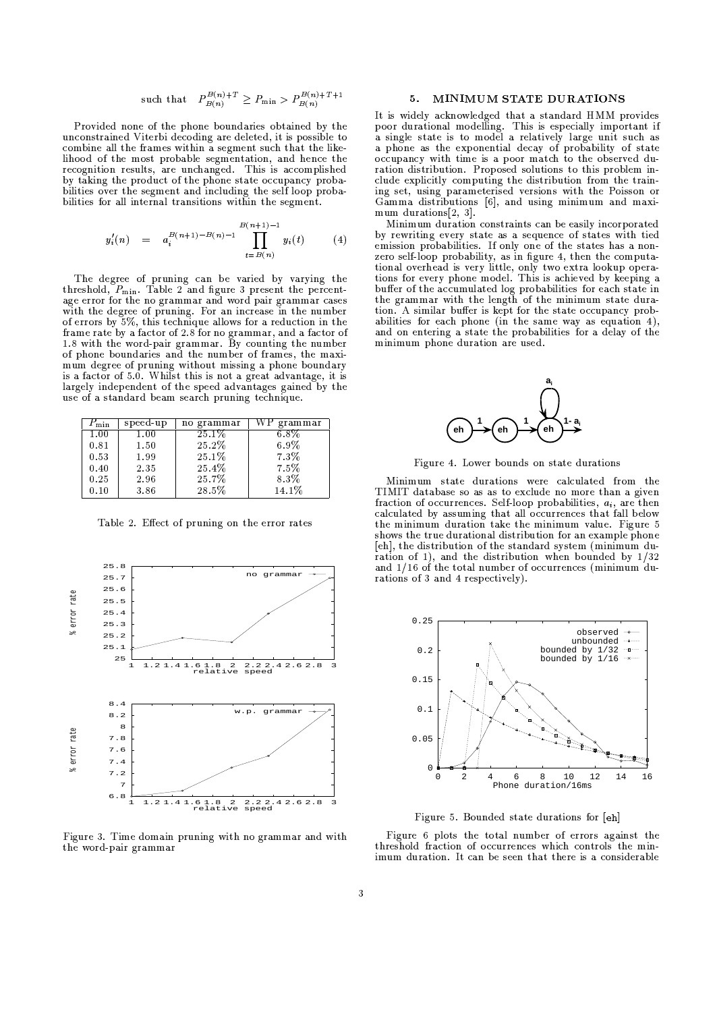such that 
$$
P_{B(n)}^{B(n)+T} \geq P_{\min} > P_{B(n)}^{B(n)+T+1}
$$

 $\mathbb{R}$  and  $\mathbb{R}$  are defined by  $\mathbb{R}$  . The change of  $\mathbb{R}$  is a change of  $\mathbb{R}$ . The state of the state of the state of the state of the state of the state of the state of the state of the state of the state of the state of the state of the state of the state of the state of the state of the state o  $\mathcal{H}$  , and a set of the contract of the contract of the contract of the contract of the contract of the contract of the contract of the contract of the contract of the contract of the contract of the contract of the c  $\blacksquare$ . The contract of the contract of the contract of the contract of the contract of the contract of the contract of the contract of the contract of the contract of the contract of the contract of the contract of the contrac BIN 
@D )&H-)O;@D @)([ID)HH& CHJ )(CV  $\mathbf{B}$  and  $\mathbf{A}$  and  $\mathbf{B}$  and  $\mathbf{A}$  and  $\mathbf{A}$  and  $\mathbf{A}$  and  $\mathbf{A}$  and  $\mathbf{A}$  and  $\mathbf{A}$  and  $\mathbf{A}$  and  $\mathbf{A}$  and  $\mathbf{A}$  and  $\mathbf{A}$  and  $\mathbf{A}$  and  $\mathbf{A}$  and  $\mathbf{A}$  and  $\mathbf{A}$  and  $\mathbf{B}$  and  $\mathbf{B}$  and  $\mathbf{C}$  and  $\mathbf{C}$  and  $\mathbf{C}$  and  $\mathbf{C}$  and  $\mathbf{C}$  and  $\mathbf{C}$  and  $\mathbf{C}$  and  $\mathbf{C}$  and  $\mathbf{C}$  and  $\mathbf{C}$  and  $\mathbf{C}$  and  $\mathbf{C}$  and  $\mathbf{C}$  and  $\mathbf{C}$  and  $\mathbf{C}$  and

$$
y_i'(n) = a_i^{B(n+1)-B(n)-1} \prod_{t=B(n)}^{B(n+1)-1} y_i(t) \qquad (4)
$$

threshold  $P_{\min}$ . Table 2 and figure 3 present the percent- $\blacksquare$  ) and ) are defined as a set of the set of the set of the set of the set of the set of the set of the set of the set of the set of the set of the set of the set of the set of the set of the set of the set of the se age error for the no grammar and word pair grammar cases with the degree of pruning. For an increase in the number  $\alpha$  , and the transition of the state of the state of  $\alpha$  $\overline{\phantom{a}}$  and  $\overline{\phantom{a}}$  and  $\overline{\phantom{a}}$  $\mathcal{L}$  , and the contract of the contract of the contract of the contract of the contract of the contract of the contract of the contract of the contract of the contract of the contract of the contract of the contract o  $\overline{a}$  ,  $\overline{a}$  ,  $\overline{a}$  ,  $\overline{a}$  ,  $\overline{a}$  ,  $\overline{a}$  ,  $\overline{a}$  ,  $\overline{a}$  ,  $\overline{a}$  ,  $\overline{a}$  ,  $\overline{a}$  ,  $\overline{a}$  ,  $\overline{a}$  ,  $\overline{a}$  ,  $\overline{a}$  ,  $\overline{a}$  ,  $\overline{a}$  ,  $\overline{a}$  ,  $\overline{a}$  ,  $\overline{a}$  ,  $\blacksquare$  ) and a solution of the contract of the contract of the contract of the contract of the contract of the contract of the contract of the contract of the contract of the contract of the contract of the contract of th  $\blacksquare$  and  $\blacksquare$  . The set of the set of the set of the set of the set of the set of the set of the set of the set of the set of the set of the set of the set of the set of the set of the set of the set of the set of the largely independent of the speed advantages gained by the use of a standard beam search pruning technique.

| $F_{\min}$ | speed-up | no grammar | grammar |
|------------|----------|------------|---------|
| 1.00       | 1.00     | $25.1\%$   | 6.8%    |
| 0.81       | 1.50     | 25.2%      | 6.9%    |
| 0.53       | 1.99     | 25.1%      | 7.3%    |
| 0.40       | 2.35     | 25.4%      | 7.5%    |
| 0.25       | 2.96     | 25.7%      | 8.3%    |
| 0.10       | 3.86     | 28.5%      | 14.1%   |

 $\mathbb{R}$  and  $\mathbb{R}$  and  $\mathbb{R}$  and  $\mathbb{R}$  and  $\mathbb{R}$  and  $\mathbb{R}$  and  $\mathbb{R}$  and  $\mathbb{R}$  and  $\mathbb{R}$  and  $\mathbb{R}$  and  $\mathbb{R}$  and  $\mathbb{R}$  and  $\mathbb{R}$  and  $\mathbb{R}$  and  $\mathbb{R}$  and  $\mathbb{R}$  and  $\mathbb{R}$  and



Figure 3. Time domain pruning with no grammar and with the word-pair grammar

### 5. MINIMUM STATE DURATIONS

 $\tau$  and  $\tau$  and  $\tau$  is the contract of  $\tau$  is the contract of  $\tau$  in  $\tau$  . The contract of  $\tau$  $\blacksquare$  ) and  $\blacksquare$  . The contraction of the contraction of the contraction of the contraction of the contraction of the contraction of the contraction of the contraction of the contraction of the contraction of the contr  $\mathcal{L} = \mathcal{L} = \mathcal{L} = \mathcal{L} = \mathcal{L} = \mathcal{L} = \mathcal{L} = \mathcal{L} = \mathcal{L} = \mathcal{L} = \mathcal{L} = \mathcal{L} = \mathcal{L} = \mathcal{L} = \mathcal{L} = \mathcal{L} = \mathcal{L} = \mathcal{L} = \mathcal{L} = \mathcal{L} = \mathcal{L} = \mathcal{L} = \mathcal{L} = \mathcal{L} = \mathcal{L} = \mathcal{L} = \mathcal{L} = \mathcal{L} = \mathcal{L} = \mathcal{L} = \mathcal{L} = \mathcal$  $\sim$  . The state of the state of the state of the state of the state of the state of the state of the state of the state of the state of the state of the state of the state of the state of the state of the state of the st  $\mathcal{L} = \{ \mathcal{L} \mid \mathcal{L} \}$  . The chemical dependence of  $\mathcal{L} = \{ \mathcal{L} \}$  , and  $\mathcal{L} = \{ \mathcal{L} \}$  $\mathbb{R}^2$  and  $\mathbb{R}^2$  . In the contract of the contract of the contract of the contract of the contract of the contract of the contract of the contract of the contract of the contract of the contract of the contract o  $\mathbf{H}$  and  $\mathbf{H}$  by the set of the contract of the contract of the contract of the contract of the contract of the contract of the contract of the contract of the contract of the contract of the contract of the contr  $\blacksquare$  . The set of the contract of the contract of the contract of the contract of the contract of the contract of the contract of the contract of the contract of the contract of the contract of the contract of the contr  $\blacksquare$  and the set of the set of the set of the set of the set of the set of the set of the set of the set of the set of the set of the set of the set of the set of the set of the set of the set of the set of the set of t  $\blacksquare$ 

is the contract of the contract of the contract of the contract of the contract of the contract of  $\mathcal{A}$ matrix and the contract of the contract of the contract of the contract of the contract of the contract of the contract of the contract of the contract of the contract of the contract of the contract of the contract of th L  )(c )(CB ^<^  >n}O9)(B<E)/)7O3@/ID@C[")V  $\blacksquare$  I and  $\blacksquare$  i and  $\blacksquare$  . The latter is the set of  $\blacksquare$  $\blacksquare$  ) and the model of the model of the model of the model of the model of the model of the model of the model of the model of the model of the model of the model of the model of the model of the model of the model of  $\blacksquare$  ), and a contract the contract of the contract of the contract of the contract of the contract of the contract of the contract of the contract of the contract of the contract of the contract of the contract of the  $\blacksquare$  ) (OQ) (CBC ) (CBC ) (CBC ) (CBC ) (CBC ) (CBC ) (CBC ) (CBC ) (CBC ) (CBC ) (CBC ) (CBC ) (CBC ) (CBC ) (CBC ) (CBC ) (CBC ) (CBC ) (CBC ) (CBC ) (CBC ) (CBC ) (CBC ) (CBC ) (CBC ) (CBC ) (CBC ) (CBC ) (CBC ) (CBC the grammar with the length of the minimum state dura- $\blacksquare$  ). And it is a structure of the structure of the structure of the structure of the structure of the structure of the structure of the structure of the structure of the structure of the structure of the structure of  $\blacksquare$  . The contract of the contract of the contract of the contract of the contract of the contract of the contract of the contract of the contract of the contract of the contract of the contract of the contract of the  $\blacksquare$  ) and the contract of the contract of the contract of the contract of the contract of the contract of the contract of the contract of the contract of the contract of the contract of the contract of the contract of  $\blacksquare$  ) and ( ) and ( ) and ( ) and ( ) and ( ) and ( ) and ( ) and ( ) and ( ) and ( ) and ( ) and ( ) and ( ) and ( ) and ( ) and ( ) and ( ) and ( ) and ( ) and ( ) and ( ) and ( ) and ( ) and ( ) and ( ) and ( ) and



. 
(&/>
.)f3W!)(&R)hIL&I )(

 $\mathbb{R}$  . The contract of the contract of the contract of the contract of the contract of the contract of the contract of the contract of the contract of the contract of the contract of the contract of the contract of th

fraction of ecourrences. Self-leap probabilities, as are then  $\overline{\phantom{a}}$  , and  $\overline{\phantom{a}}$  , and  $\overline{\phantom{a}}$  , and  $\overline{\phantom{a}}$  , and  $\overline{\phantom{a}}$  , and  $\overline{\phantom{a}}$  , and  $\overline{\phantom{a}}$  , and  $\overline{\phantom{a}}$  , and  $\overline{\phantom{a}}$  , and  $\overline{\phantom{a}}$  , and  $\overline{\phantom{a}}$  , and  $\overline{\phantom{a}}$  , and  $\overline{\$ calculated by assuming that all occurrences that fall below  $\blacksquare$  . A set of the set of the set of the set of the set of the set of the set of the set of the set of the set of the set of the set of the set of the set of the set of the set of the set of the set of the set of the s  $\blacksquare$  ; and a set of the set of the set of the set of the set of the set of the set of the set of the set of the set of the set of the set of the set of the set of the set of the set of the set of the set of the set of t  $\mathbb{R}$  . The contract of the contract of the contract of the contract of the contract of the contract of the contract of the contract of the contract of the contract of the contract of the contract of the contract of th  $\blacksquare$  ) and the contract of the contract of the contract of the contract of the contract of the contract of the contract of the contract of the contract of the contract of the contract of the contract of the contract of and  $1/16$  of the total number of occurrences (minimum du- $\blacksquare$  ), and the contract of the contract of the contract of the contract of the contract of the contract of the contract of the contract of the contract of the contract of the contract of the contract of the contract of



 $\blacksquare$  , and the state of the state of  $\blacksquare$ 

Figure 6 plots the total number of errors against the  $\blacksquare$  ), and a set of the set of the set of the set of the set of the set of the set of the set of the set of the set of the set of the set of the set of the set of the set of the set of the set of the set of the set of  $\blacksquare$  ) and  $\blacksquare$  . The contract of the contract of the contract of the contract of the contract of the contract of the contract of the contract of the contract of the contract of the contract of the contract of the con